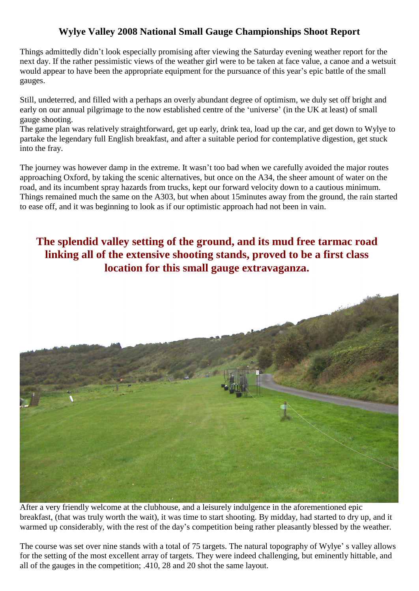## **Wylye Valley 2008 National Small Gauge Championships Shoot Report**

Things admittedly didn't look especially promising after viewing the Saturday evening weather report for the next day. If the rather pessimistic views of the weather girl were to be taken at face value, a canoe and a wetsuit Things admittedly didn't look especially promising after viewing the Saturday evening weather report for the next day. If the rather pessimistic views of the weather girl were to be taken at face value, a canoe and a wetsu gauges.

Still, undeterred, and filled with a perhaps an overly abundant degree of optimism, we duly set off bright and -<br>Still, undeterred, and filled with a perhaps an overly abundant degree of optimism, we duly set off bright and<br>early on our annual pilgrimage to the now established centre of the 'universe' (in the UK at least) of small gauge shooting.

The game plan was relatively straightforward, get up early, drink tea, load up the car, and get down to Wylye to partake the legendary full English breakfast, and after a suitable period for contemplative digestion, get stuck into the fray.

The journey was however damp in the extreme. It wasn't too bad when we carefully avoided the major routes approaching Oxford, by taking the scenic alternatives, but once on the A34, the sheer amount of water on the road, and its incumbent spray hazards from trucks, kept our forward velocity down to a cautious minimum. Things remained much the same on the A303, but when about 15minutes away from the ground, the rain started to ease off, and it was beginning to look as if our optimistic approach had not been in vain.

## **The splendid valley setting of the ground, and itsmud free tarmac road linking all of the extensive shooting stands, proved to be a first class location for this small gauge extravaganza.**



After a very friendly welcome at the clubhouse, and a leisurely indulgence in the aforementioned epic breakfast, (that was truly worth the wait), it was time to start shooting. By midday, had started to dry up, and it After a very friendly welcome at the clubhouse, and a leisurely indulgence in the aforementioned epic<br>breakfast, (that was truly worth the wait), it was time to start shooting. By midday, had started to dry up, and it<br>warm warmed up considerably, with the rest of the day's competition being rather pleasantly blessed by the weather.<br>The course was set over nine stands with a total of 75 targets. The natural topography of Wylye's valley allows

for the setting of the most excellent array of targets. They were indeed challenging, but eminently hittable, and all of the gauges in the competition; .410, 28 and 20 shot the same layout.